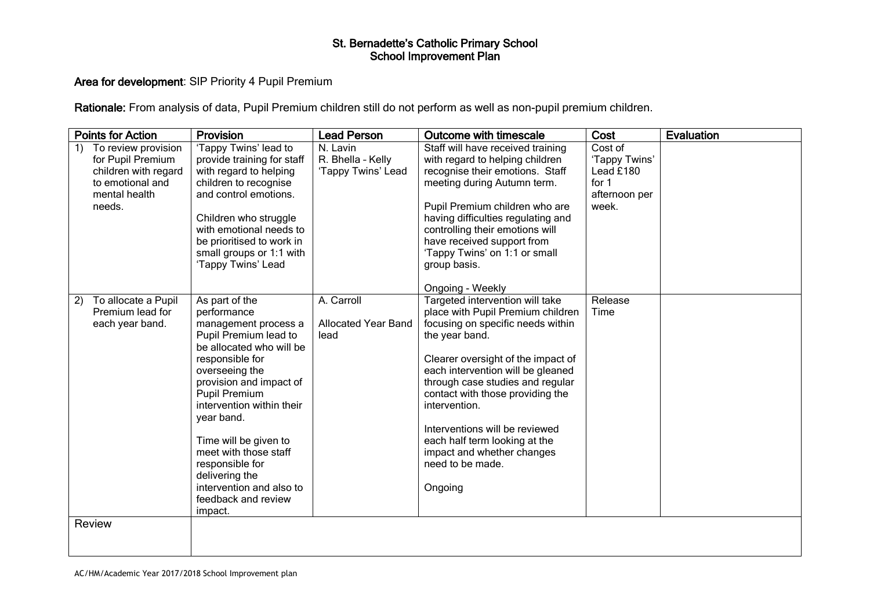### Area for development: SIP Priority 4 Pupil Premium

Rationale: From analysis of data, Pupil Premium children still do not perform as well as non-pupil premium children.

| <b>Points for Action</b>                                                                                              | Provision                                                                                                                                                                                                                                                                                                                                                                                          | <b>Lead Person</b>                                  | <b>Outcome with timescale</b>                                                                                                                                                                                                                                                                                                                                                                                                   | Cost                                                                       | <b>Evaluation</b> |
|-----------------------------------------------------------------------------------------------------------------------|----------------------------------------------------------------------------------------------------------------------------------------------------------------------------------------------------------------------------------------------------------------------------------------------------------------------------------------------------------------------------------------------------|-----------------------------------------------------|---------------------------------------------------------------------------------------------------------------------------------------------------------------------------------------------------------------------------------------------------------------------------------------------------------------------------------------------------------------------------------------------------------------------------------|----------------------------------------------------------------------------|-------------------|
| To review provision<br>1)<br>for Pupil Premium<br>children with regard<br>to emotional and<br>mental health<br>needs. | 'Tappy Twins' lead to<br>provide training for staff<br>with regard to helping<br>children to recognise<br>and control emotions.<br>Children who struggle<br>with emotional needs to<br>be prioritised to work in<br>small groups or 1:1 with<br>'Tappy Twins' Lead                                                                                                                                 | N. Lavin<br>R. Bhella - Kelly<br>'Tappy Twins' Lead | Staff will have received training<br>with regard to helping children<br>recognise their emotions. Staff<br>meeting during Autumn term.<br>Pupil Premium children who are<br>having difficulties regulating and<br>controlling their emotions will<br>have received support from<br>'Tappy Twins' on 1:1 or small<br>group basis.<br>Ongoing - Weekly                                                                            | Cost of<br>'Tappy Twins'<br>Lead £180<br>for $1$<br>afternoon per<br>week. |                   |
| To allocate a Pupil<br>2)<br>Premium lead for<br>each year band.<br>Review                                            | As part of the<br>performance<br>management process a<br>Pupil Premium lead to<br>be allocated who will be<br>responsible for<br>overseeing the<br>provision and impact of<br><b>Pupil Premium</b><br>intervention within their<br>year band.<br>Time will be given to<br>meet with those staff<br>responsible for<br>delivering the<br>intervention and also to<br>feedback and review<br>impact. | A. Carroll<br><b>Allocated Year Band</b><br>lead    | Targeted intervention will take<br>place with Pupil Premium children<br>focusing on specific needs within<br>the year band.<br>Clearer oversight of the impact of<br>each intervention will be gleaned<br>through case studies and regular<br>contact with those providing the<br>intervention.<br>Interventions will be reviewed<br>each half term looking at the<br>impact and whether changes<br>need to be made.<br>Ongoing | Release<br>Time                                                            |                   |
|                                                                                                                       |                                                                                                                                                                                                                                                                                                                                                                                                    |                                                     |                                                                                                                                                                                                                                                                                                                                                                                                                                 |                                                                            |                   |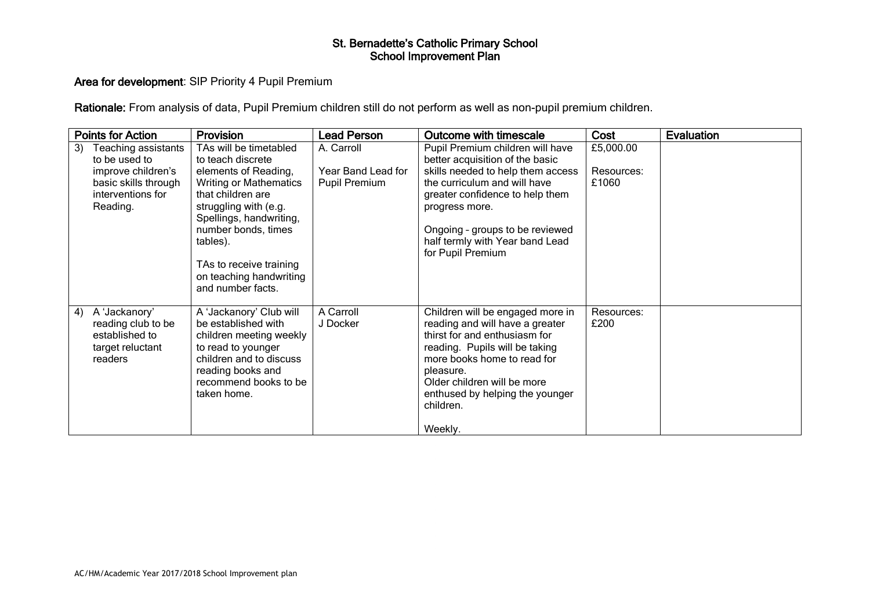### Area for development: SIP Priority 4 Pupil Premium

Rationale: From analysis of data, Pupil Premium children still do not perform as well as non-pupil premium children.

| <b>Points for Action</b>                                                                   | <b>Provision</b>                                                                                                                                                                                                                             | <b>Lead Person</b>                         | Outcome with timescale                                                                                                                                                                                                                                                       | Cost                | Evaluation |
|--------------------------------------------------------------------------------------------|----------------------------------------------------------------------------------------------------------------------------------------------------------------------------------------------------------------------------------------------|--------------------------------------------|------------------------------------------------------------------------------------------------------------------------------------------------------------------------------------------------------------------------------------------------------------------------------|---------------------|------------|
| Teaching assistants<br>3)<br>to be used to                                                 | TAs will be timetabled<br>to teach discrete                                                                                                                                                                                                  | A. Carroll                                 | Pupil Premium children will have<br>better acquisition of the basic                                                                                                                                                                                                          | £5,000.00           |            |
| improve children's<br>basic skills through<br>interventions for<br>Reading.                | elements of Reading,<br><b>Writing or Mathematics</b><br>that children are<br>struggling with (e.g.<br>Spellings, handwriting,<br>number bonds, times<br>tables).<br>TAs to receive training<br>on teaching handwriting<br>and number facts. | Year Band Lead for<br><b>Pupil Premium</b> | skills needed to help them access<br>the curriculum and will have<br>greater confidence to help them<br>progress more.<br>Ongoing - groups to be reviewed<br>half termly with Year band Lead<br>for Pupil Premium                                                            | Resources:<br>£1060 |            |
| A 'Jackanory'<br>4)<br>reading club to be<br>established to<br>target reluctant<br>readers | A 'Jackanory' Club will<br>be established with<br>children meeting weekly<br>to read to younger<br>children and to discuss<br>reading books and<br>recommend books to be<br>taken home.                                                      | A Carroll<br>J Docker                      | Children will be engaged more in<br>reading and will have a greater<br>thirst for and enthusiasm for<br>reading. Pupils will be taking<br>more books home to read for<br>pleasure.<br>Older children will be more<br>enthused by helping the younger<br>children.<br>Weekly. | Resources:<br>£200  |            |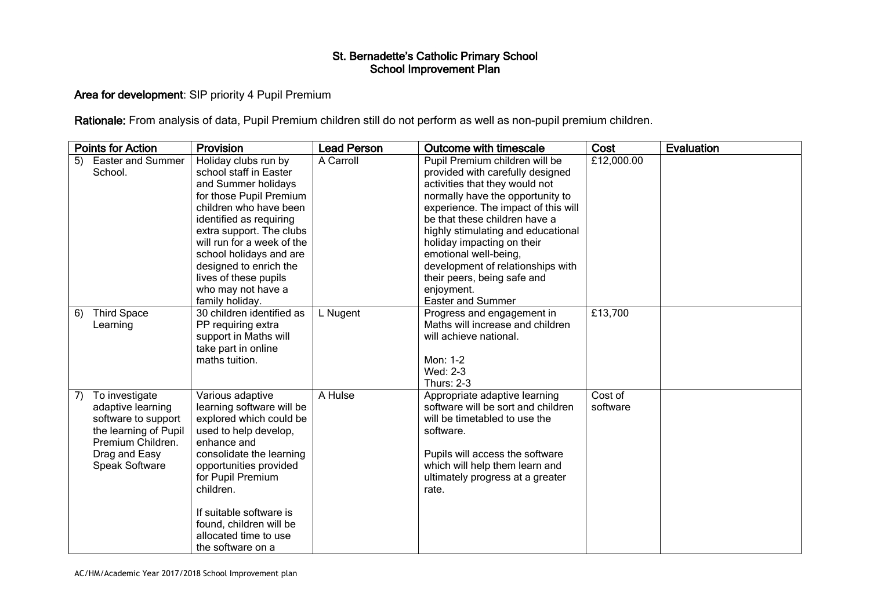## Area for development: SIP priority 4 Pupil Premium

Rationale: From analysis of data, Pupil Premium children still do not perform as well as non-pupil premium children.

| <b>Points for Action</b>             |                                                                                                                                             | <b>Provision</b>                                                                                                                                                                                                                                                                                                                       | <b>Lead Person</b> | Outcome with timescale                                                                                                                                                                                                                                                                                                                                                                                                      | Cost                | Evaluation |
|--------------------------------------|---------------------------------------------------------------------------------------------------------------------------------------------|----------------------------------------------------------------------------------------------------------------------------------------------------------------------------------------------------------------------------------------------------------------------------------------------------------------------------------------|--------------------|-----------------------------------------------------------------------------------------------------------------------------------------------------------------------------------------------------------------------------------------------------------------------------------------------------------------------------------------------------------------------------------------------------------------------------|---------------------|------------|
| 5)<br>School.                        | <b>Easter and Summer</b>                                                                                                                    | Holiday clubs run by<br>school staff in Easter<br>and Summer holidays<br>for those Pupil Premium<br>children who have been<br>identified as requiring<br>extra support. The clubs<br>will run for a week of the<br>school holidays and are<br>designed to enrich the<br>lives of these pupils<br>who may not have a<br>family holiday. | A Carroll          | Pupil Premium children will be<br>provided with carefully designed<br>activities that they would not<br>normally have the opportunity to<br>experience. The impact of this will<br>be that these children have a<br>highly stimulating and educational<br>holiday impacting on their<br>emotional well-being,<br>development of relationships with<br>their peers, being safe and<br>enjoyment.<br><b>Easter and Summer</b> | £12,000.00          |            |
| <b>Third Space</b><br>6)<br>Learning |                                                                                                                                             | 30 children identified as<br>PP requiring extra<br>support in Maths will<br>take part in online<br>maths tuition.                                                                                                                                                                                                                      | L Nugent           | Progress and engagement in<br>Maths will increase and children<br>will achieve national.<br>Mon: 1-2<br>Wed: 2-3<br><b>Thurs: 2-3</b>                                                                                                                                                                                                                                                                                       | £13,700             |            |
| 7)                                   | To investigate<br>adaptive learning<br>software to support<br>the learning of Pupil<br>Premium Children.<br>Drag and Easy<br>Speak Software | Various adaptive<br>learning software will be<br>explored which could be<br>used to help develop,<br>enhance and<br>consolidate the learning<br>opportunities provided<br>for Pupil Premium<br>children.<br>If suitable software is<br>found, children will be<br>allocated time to use<br>the software on a                           | A Hulse            | Appropriate adaptive learning<br>software will be sort and children<br>will be timetabled to use the<br>software.<br>Pupils will access the software<br>which will help them learn and<br>ultimately progress at a greater<br>rate.                                                                                                                                                                                         | Cost of<br>software |            |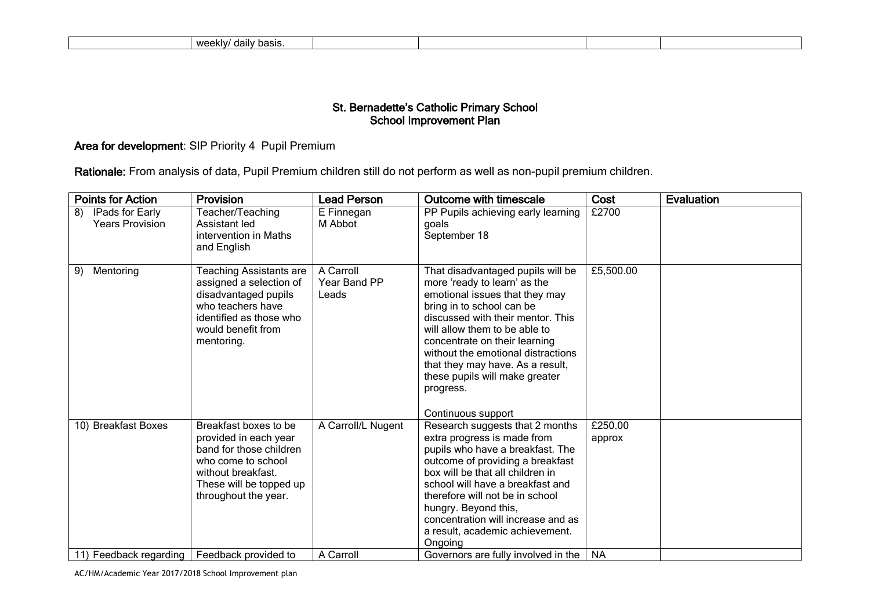|  | 141001<br>hool<br>וורי<br>weeniv,<br>ਾਰਗਾ<br>Dasis. |  |  |  |  |
|--|-----------------------------------------------------|--|--|--|--|
|--|-----------------------------------------------------|--|--|--|--|

# Area for development: SIP Priority 4 Pupil Premium

Rationale: From analysis of data, Pupil Premium children still do not perform as well as non-pupil premium children.

| <b>Points for Action</b>                        | Provision                                                                                                                                                                | <b>Lead Person</b>                 | <b>Outcome with timescale</b>                                                                                                                                                                                                                                                                                                                                                          | Cost              | <b>Evaluation</b> |
|-------------------------------------------------|--------------------------------------------------------------------------------------------------------------------------------------------------------------------------|------------------------------------|----------------------------------------------------------------------------------------------------------------------------------------------------------------------------------------------------------------------------------------------------------------------------------------------------------------------------------------------------------------------------------------|-------------------|-------------------|
| 8)<br>IPads for Early<br><b>Years Provision</b> | Teacher/Teaching<br>Assistant led<br>intervention in Maths<br>and English                                                                                                | E Finnegan<br>M Abbot              | PP Pupils achieving early learning<br>goals<br>September 18                                                                                                                                                                                                                                                                                                                            | £2700             |                   |
| Mentoring<br>9)                                 | <b>Teaching Assistants are</b><br>assigned a selection of<br>disadvantaged pupils<br>who teachers have<br>identified as those who<br>would benefit from<br>mentoring.    | A Carroll<br>Year Band PP<br>Leads | That disadvantaged pupils will be<br>more 'ready to learn' as the<br>emotional issues that they may<br>bring in to school can be<br>discussed with their mentor. This<br>will allow them to be able to<br>concentrate on their learning<br>without the emotional distractions<br>that they may have. As a result,<br>these pupils will make greater<br>progress.<br>Continuous support | £5,500.00         |                   |
| 10) Breakfast Boxes                             | Breakfast boxes to be<br>provided in each year<br>band for those children<br>who come to school<br>without breakfast.<br>These will be topped up<br>throughout the year. | A Carroll/L Nugent                 | Research suggests that 2 months<br>extra progress is made from<br>pupils who have a breakfast. The<br>outcome of providing a breakfast<br>box will be that all children in<br>school will have a breakfast and<br>therefore will not be in school<br>hungry. Beyond this,<br>concentration will increase and as<br>a result, academic achievement.<br>Ongoing                          | £250.00<br>approx |                   |
| 11) Feedback regarding                          | Feedback provided to                                                                                                                                                     | A Carroll                          | Governors are fully involved in the                                                                                                                                                                                                                                                                                                                                                    | <b>NA</b>         |                   |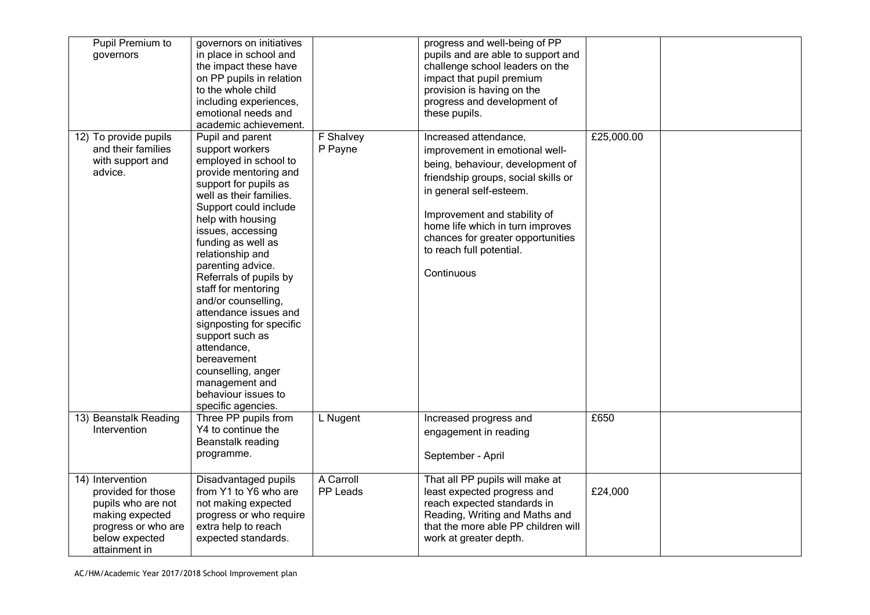| Pupil Premium to<br>governors                                                                                                             | governors on initiatives<br>in place in school and<br>the impact these have<br>on PP pupils in relation<br>to the whole child<br>including experiences,<br>emotional needs and<br>academic achievement.                                                                                                                                                                                                                                                                                                                                        |                       | progress and well-being of PP<br>pupils and are able to support and<br>challenge school leaders on the<br>impact that pupil premium<br>provision is having on the<br>progress and development of<br>these pupils.                                                                                                |            |  |
|-------------------------------------------------------------------------------------------------------------------------------------------|------------------------------------------------------------------------------------------------------------------------------------------------------------------------------------------------------------------------------------------------------------------------------------------------------------------------------------------------------------------------------------------------------------------------------------------------------------------------------------------------------------------------------------------------|-----------------------|------------------------------------------------------------------------------------------------------------------------------------------------------------------------------------------------------------------------------------------------------------------------------------------------------------------|------------|--|
| 12) To provide pupils<br>and their families<br>with support and<br>advice.                                                                | Pupil and parent<br>support workers<br>employed in school to<br>provide mentoring and<br>support for pupils as<br>well as their families.<br>Support could include<br>help with housing<br>issues, accessing<br>funding as well as<br>relationship and<br>parenting advice.<br>Referrals of pupils by<br>staff for mentoring<br>and/or counselling,<br>attendance issues and<br>signposting for specific<br>support such as<br>attendance.<br>bereavement<br>counselling, anger<br>management and<br>behaviour issues to<br>specific agencies. | F Shalvey<br>P Payne  | Increased attendance,<br>improvement in emotional well-<br>being, behaviour, development of<br>friendship groups, social skills or<br>in general self-esteem.<br>Improvement and stability of<br>home life which in turn improves<br>chances for greater opportunities<br>to reach full potential.<br>Continuous | £25,000.00 |  |
| 13) Beanstalk Reading<br>Intervention                                                                                                     | Three PP pupils from<br>Y4 to continue the<br>Beanstalk reading<br>programme.                                                                                                                                                                                                                                                                                                                                                                                                                                                                  | L Nugent              | Increased progress and<br>engagement in reading<br>September - April                                                                                                                                                                                                                                             | £650       |  |
| 14) Intervention<br>provided for those<br>pupils who are not<br>making expected<br>progress or who are<br>below expected<br>attainment in | Disadvantaged pupils<br>from Y1 to Y6 who are<br>not making expected<br>progress or who require<br>extra help to reach<br>expected standards.                                                                                                                                                                                                                                                                                                                                                                                                  | A Carroll<br>PP Leads | That all PP pupils will make at<br>least expected progress and<br>reach expected standards in<br>Reading, Writing and Maths and<br>that the more able PP children will<br>work at greater depth.                                                                                                                 | £24,000    |  |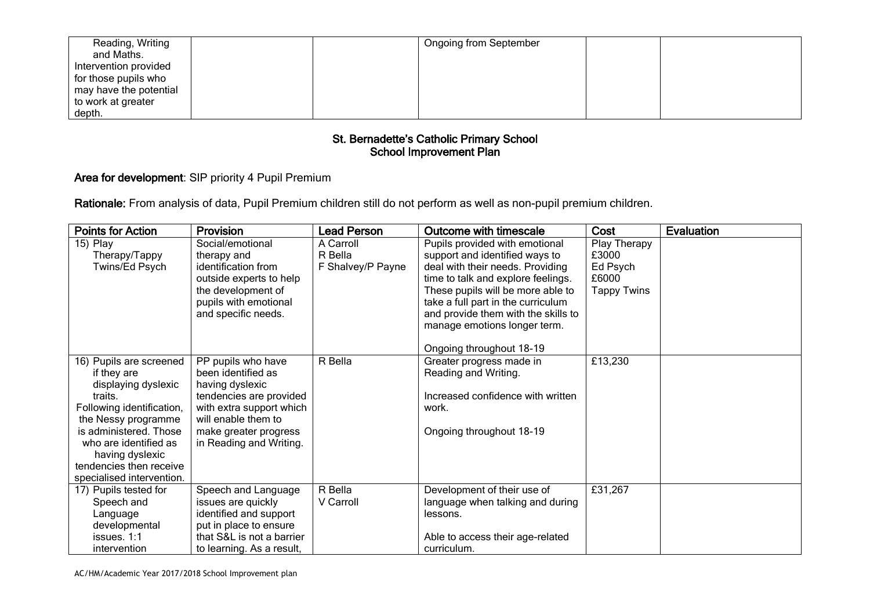| Reading, Writing         |  | <b>Ongoing from September</b> |  |
|--------------------------|--|-------------------------------|--|
| and Maths.               |  |                               |  |
| Intervention provided    |  |                               |  |
| for those pupils who     |  |                               |  |
| I may have the potential |  |                               |  |
| to work at greater       |  |                               |  |
| depth.                   |  |                               |  |

# Area for development: SIP priority 4 Pupil Premium

Rationale: From analysis of data, Pupil Premium children still do not perform as well as non-pupil premium children.

| <b>Points for Action</b>                   | <b>Provision</b>          | <b>Lead Person</b> | <b>Outcome with timescale</b>       | Cost               | Evaluation |
|--------------------------------------------|---------------------------|--------------------|-------------------------------------|--------------------|------------|
| 15) Play                                   | Social/emotional          | A Carroll          | Pupils provided with emotional      | Play Therapy       |            |
| Therapy/Tappy                              | therapy and               | R Bella            | support and identified ways to      | £3000              |            |
| Twins/Ed Psych                             | identification from       | F Shalvey/P Payne  | deal with their needs. Providing    | Ed Psych           |            |
|                                            | outside experts to help   |                    | time to talk and explore feelings.  | £6000              |            |
|                                            | the development of        |                    | These pupils will be more able to   | <b>Tappy Twins</b> |            |
|                                            | pupils with emotional     |                    | take a full part in the curriculum  |                    |            |
|                                            | and specific needs.       |                    | and provide them with the skills to |                    |            |
|                                            |                           |                    | manage emotions longer term.        |                    |            |
|                                            |                           |                    |                                     |                    |            |
|                                            |                           |                    | Ongoing throughout 18-19            |                    |            |
| 16) Pupils are screened                    | PP pupils who have        | R Bella            | Greater progress made in            | £13,230            |            |
| if they are                                | been identified as        |                    | Reading and Writing.                |                    |            |
| displaying dyslexic                        | having dyslexic           |                    |                                     |                    |            |
| traits.                                    | tendencies are provided   |                    | Increased confidence with written   |                    |            |
| Following identification,                  | with extra support which  |                    | work.                               |                    |            |
| the Nessy programme                        | will enable them to       |                    |                                     |                    |            |
| is administered. Those                     | make greater progress     |                    | Ongoing throughout 18-19            |                    |            |
| who are identified as                      | in Reading and Writing.   |                    |                                     |                    |            |
| having dyslexic<br>tendencies then receive |                           |                    |                                     |                    |            |
| specialised intervention.                  |                           |                    |                                     |                    |            |
| 17) Pupils tested for                      | Speech and Language       | R Bella            | Development of their use of         | £31,267            |            |
| Speech and                                 | issues are quickly        | V Carroll          | language when talking and during    |                    |            |
| Language                                   | identified and support    |                    | lessons.                            |                    |            |
| developmental                              | put in place to ensure    |                    |                                     |                    |            |
| issues. $1:1$                              | that S&L is not a barrier |                    | Able to access their age-related    |                    |            |
| intervention                               | to learning. As a result, |                    | curriculum.                         |                    |            |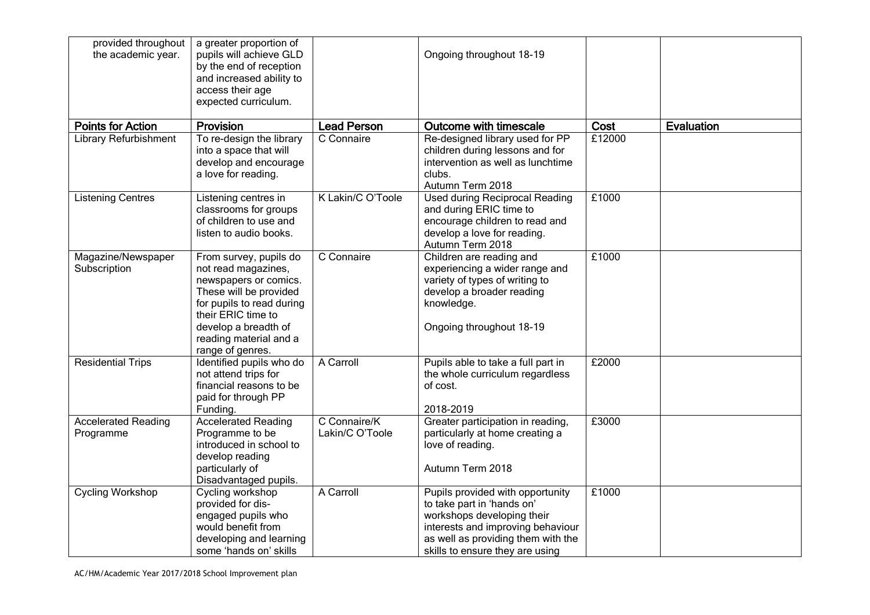| provided throughout<br>the academic year. | a greater proportion of<br>pupils will achieve GLD<br>by the end of reception<br>and increased ability to<br>access their age<br>expected curriculum.                                                                     |                                 | Ongoing throughout 18-19                                                                                                                                                                                   |        |                   |
|-------------------------------------------|---------------------------------------------------------------------------------------------------------------------------------------------------------------------------------------------------------------------------|---------------------------------|------------------------------------------------------------------------------------------------------------------------------------------------------------------------------------------------------------|--------|-------------------|
| <b>Points for Action</b>                  | <b>Provision</b>                                                                                                                                                                                                          | <b>Lead Person</b>              | Outcome with timescale                                                                                                                                                                                     | Cost   | <b>Evaluation</b> |
| Library Refurbishment                     | To re-design the library<br>into a space that will<br>develop and encourage<br>a love for reading.                                                                                                                        | C Connaire                      | Re-designed library used for PP<br>children during lessons and for<br>intervention as well as lunchtime<br>clubs.<br>Autumn Term 2018                                                                      | £12000 |                   |
| <b>Listening Centres</b>                  | Listening centres in<br>classrooms for groups<br>of children to use and<br>listen to audio books.                                                                                                                         | K Lakin/C O'Toole               | <b>Used during Reciprocal Reading</b><br>and during ERIC time to<br>encourage children to read and<br>develop a love for reading.<br>Autumn Term 2018                                                      | £1000  |                   |
| Magazine/Newspaper<br>Subscription        | From survey, pupils do<br>not read magazines,<br>newspapers or comics.<br>These will be provided<br>for pupils to read during<br>their ERIC time to<br>develop a breadth of<br>reading material and a<br>range of genres. | C Connaire                      | Children are reading and<br>experiencing a wider range and<br>variety of types of writing to<br>develop a broader reading<br>knowledge.<br>Ongoing throughout 18-19                                        | £1000  |                   |
| <b>Residential Trips</b>                  | Identified pupils who do<br>not attend trips for<br>financial reasons to be<br>paid for through PP<br>Funding.                                                                                                            | A Carroll                       | Pupils able to take a full part in<br>the whole curriculum regardless<br>of cost.<br>2018-2019                                                                                                             | £2000  |                   |
| <b>Accelerated Reading</b><br>Programme   | <b>Accelerated Reading</b><br>Programme to be<br>introduced in school to<br>develop reading<br>particularly of<br>Disadvantaged pupils.                                                                                   | C Connaire/K<br>Lakin/C O'Toole | Greater participation in reading,<br>particularly at home creating a<br>love of reading.<br>Autumn Term 2018                                                                                               | £3000  |                   |
| <b>Cycling Workshop</b>                   | Cycling workshop<br>provided for dis-<br>engaged pupils who<br>would benefit from<br>developing and learning<br>some 'hands on' skills                                                                                    | A Carroll                       | Pupils provided with opportunity<br>to take part in 'hands on'<br>workshops developing their<br>interests and improving behaviour<br>as well as providing them with the<br>skills to ensure they are using | £1000  |                   |